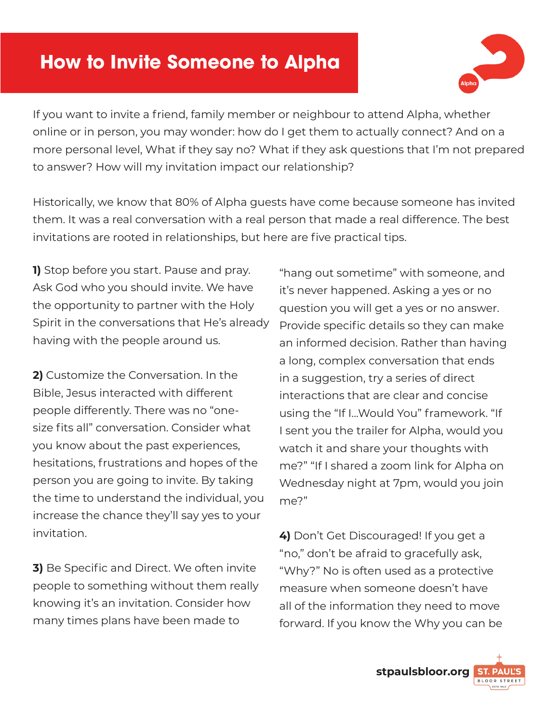# **How to Invite Someone to Alpha**



If you want to invite a friend, family member or neighbour to attend Alpha, whether online or in person, you may wonder: how do I get them to actually connect? And on a more personal level, What if they say no? What if they ask questions that I'm not prepared to answer? How will my invitation impact our relationship?

Historically, we know that 80% of Alpha guests have come because someone has invited them. It was a real conversation with a real person that made a real difference. The best invitations are rooted in relationships, but here are five practical tips.

**1)** Stop before you start. Pause and pray. Ask God who you should invite. We have the opportunity to partner with the Holy Spirit in the conversations that He's already having with the people around us.

**2)** Customize the Conversation. In the Bible, Jesus interacted with different people differently. There was no "onesize fits all" conversation. Consider what you know about the past experiences, hesitations, frustrations and hopes of the person you are going to invite. By taking the time to understand the individual, you increase the chance they'll say yes to your invitation.

**3)** Be Specific and Direct. We often invite people to something without them really knowing it's an invitation. Consider how many times plans have been made to

"hang out sometime" with someone, and it's never happened. Asking a yes or no question you will get a yes or no answer. Provide specific details so they can make an informed decision. Rather than having a long, complex conversation that ends in a suggestion, try a series of direct interactions that are clear and concise using the "If I...Would You" framework. "If I sent you the trailer for Alpha, would you watch it and share your thoughts with me?" "If I shared a zoom link for Alpha on Wednesday night at 7pm, would you join me?"

**4)** Don't Get Discouraged! If you get a "no," don't be afraid to gracefully ask, "Why?" No is often used as a protective measure when someone doesn't have all of the information they need to move forward. If you know the Why you can be

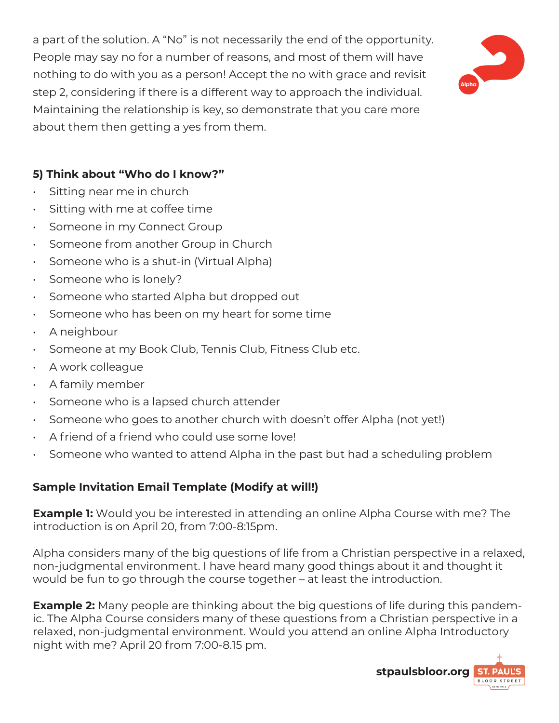a part of the solution. A "No" is not necessarily the end of the opportunity. People may say no for a number of reasons, and most of them will have nothing to do with you as a person! Accept the no with grace and revisit step 2, considering if there is a different way to approach the individual. Maintaining the relationship is key, so demonstrate that you care more about them then getting a yes from them.



## **5) Think about "Who do I know?"**

- Sitting near me in church
- Sitting with me at coffee time
- Someone in my Connect Group
- Someone from another Group in Church
- Someone who is a shut-in (Virtual Alpha)
- Someone who is lonely?
- Someone who started Alpha but dropped out
- Someone who has been on my heart for some time
- A neighbour
- Someone at my Book Club, Tennis Club, Fitness Club etc.
- A work colleague
- A family member
- Someone who is a lapsed church attender
- Someone who goes to another church with doesn't offer Alpha (not yet!)
- A friend of a friend who could use some love!
- Someone who wanted to attend Alpha in the past but had a scheduling problem

## **Sample Invitation Email Template (Modify at will!)**

**Example 1:** Would you be interested in attending an online Alpha Course with me? The introduction is on April 20, from 7:00-8:15pm.

Alpha considers many of the big questions of life from a Christian perspective in a relaxed, non-judgmental environment. I have heard many good things about it and thought it would be fun to go through the course together – at least the introduction.

**Example 2:** Many people are thinking about the big questions of life during this pandemic. The Alpha Course considers many of these questions from a Christian perspective in a relaxed, non-judgmental environment. Would you attend an online Alpha Introductory night with me? April 20 from 7:00-8.15 pm.